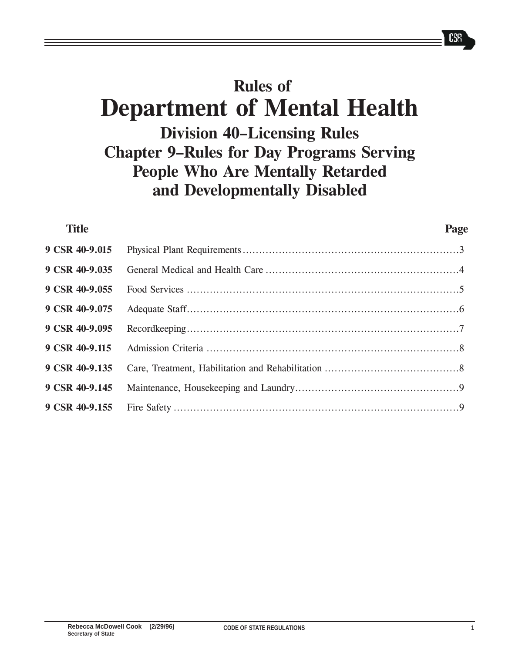# Rules of Department of Mental Health Division 40-Licensing Rules Chapter 9-Rules for Day Programs Serving People Who Are Mentally Retarded and Developmentally Disabled

| <b>Title</b>   | Page |
|----------------|------|
| 9 CSR 40-9.015 |      |
| 9 CSR 40-9.035 |      |
| 9 CSR 40-9.055 |      |
| 9 CSR 40-9.075 |      |
| 9 CSR 40-9.095 |      |
| 9 CSR 40-9.115 |      |
| 9 CSR 40-9.135 |      |
| 9 CSR 40-9.145 |      |
| 9 CSR 40-9.155 |      |
|                |      |

 $C33$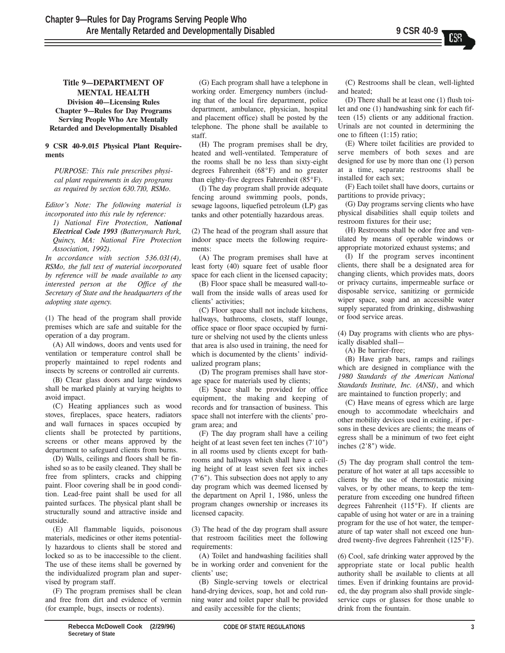## Title 9-DEPARTMENT OF MENTAL HEALTH

Division 40–Licensing Rules Chapter 9–Rules for Day Programs Serving People Who Are Mentally Retarded and Developmentally Disabled

## 9 CSR 40-9.015 Physical Plant Requirements

PURPOSE: This rule prescribes physical plant requirements in day programs as required by section 630.710, RSMo.

Editor's Note: The following material is incorporated into this rule by reference:

1) National Fire Protection, National Electrical Code 1993 (Batterymarch Park, Quincy, MA: National Fire Protection Association, 1992).

In accordance with section 536.031(4), RSMo, the full text of material incorporated by reference will be made available to any interested person at the Office of the Secretary of State and the headquarters of the adopting state agency.

(1) The head of the program shall provide premises which are safe and suitable for the operation of a day program.

(A) All windows, doors and vents used for ventilation or temperature control shall be properly maintained to repel rodents and insects by screens or controlled air currents.

(B) Clear glass doors and large windows shall be marked plainly at varying heights to avoid impact.

(C) Heating appliances such as wood stoves, fireplaces, space heaters, radiators and wall furnaces in spaces occupied by clients shall be protected by partitions, screens or other means approved by the department to safeguard clients from burns.

(D) Walls, ceilings and floors shall be finished so as to be easily cleaned. They shall be free from splinters, cracks and chipping paint. Floor covering shall be in good condition. Lead-free paint shall be used for all painted surfaces. The physical plant shall be structurally sound and attractive inside and outside.

(E) All flammable liquids, poisonous materials, medicines or other items potentially hazardous to clients shall be stored and locked so as to be inaccessible to the client. The use of these items shall be governed by the individualized program plan and supervised by program staff.

(F) The program premises shall be clean and free from dirt and evidence of vermin (for example, bugs, insects or rodents).

(G) Each program shall have a telephone in working order. Emergency numbers (including that of the local fire department, police department, ambulance, physician, hospital and placement office) shall be posted by the telephone. The phone shall be available to staff.

(H) The program premises shall be dry, heated and well-ventilated. Temperature of the rooms shall be no less than sixty-eight degrees Fahrenheit (68°F) and no greater than eighty-five degrees Fahrenheit (85°F).

(I) The day program shall provide adequate fencing around swimming pools, ponds, sewage lagoons, liquefied petroleum (LP) gas tanks and other potentially hazardous areas.

(2) The head of the program shall assure that indoor space meets the following requirements:

(A) The program premises shall have at least forty (40) square feet of usable floor space for each client in the licensed capacity;

(B) Floor space shall be measured wall-towall from the inside walls of areas used for clients' activities;

(C) Floor space shall not include kitchens, hallways, bathrooms, closets, staff lounge, office space or floor space occupied by furniture or shelving not used by the clients unless that area is also used in training, the need for which is documented by the clients' individualized program plans;

(D) The program premises shall have storage space for materials used by clients;

(E) Space shall be provided for office equipment, the making and keeping of records and for transaction of business. This space shall not interfere with the clients' program area; and

(F) The day program shall have a ceiling height of at least seven feet ten inches (7'10") in all rooms used by clients except for bathrooms and hallways which shall have a ceiling height of at least seven feet six inches (7'6"). This subsection does not apply to any day program which was deemed licensed by the department on April 1, 1986, unless the program changes ownership or increases its licensed capacity.

(3) The head of the day program shall assure that restroom facilities meet the following requirements:

(A) Toilet and handwashing facilities shall be in working order and convenient for the clients' use;

(B) Single-serving towels or electrical hand-drying devices, soap, hot and cold running water and toilet paper shall be provided and easily accessible for the clients;

(C) Restrooms shall be clean, well-lighted and heated;

(D) There shall be at least one (1) flush toilet and one (1) handwashing sink for each fifteen (15) clients or any additional fraction. Urinals are not counted in determining the one to fifteen (1:15) ratio;

(E) Where toilet facilities are provided to serve members of both sexes and are designed for use by more than one (1) person at a time, separate restrooms shall be installed for each sex;

(F) Each toilet shall have doors, curtains or partitions to provide privacy;

(G) Day programs serving clients who have physical disabilities shall equip toilets and restroom fixtures for their use;

(H) Restrooms shall be odor free and ventilated by means of operable windows or appropriate motorized exhaust systems; and

(I) If the program serves incontinent clients, there shall be a designated area for changing clients, which provides mats, doors or privacy curtains, impermeable surface or disposable service, sanitizing or germicide wiper space, soap and an accessible water supply separated from drinking, dishwashing or food service areas.

(4) Day programs with clients who are physically disabled shall-

(A) Be barrier-free;

(B) Have grab bars, ramps and railings which are designed in compliance with the 1980 Standards of the American National Standards Institute, Inc. (ANSI), and which are maintained to function properly; and

(C) Have means of egress which are large enough to accommodate wheelchairs and other mobility devices used in exiting, if persons in these devices are clients; the means of egress shall be a minimum of two feet eight inches (2'8") wide.

(5) The day program shall control the temperature of hot water at all taps accessible to clients by the use of thermostatic mixing valves, or by other means, to keep the temperature from exceeding one hundred fifteen degrees Fahrenheit (115°F). If clients are capable of using hot water or are in a training program for the use of hot water, the temperature of tap water shall not exceed one hundred twenty-five degrees Fahrenheit (125°F).

(6) Cool, safe drinking water approved by the appropriate state or local public health authority shall be available to clients at all times. Even if drinking fountains are provided, the day program also shall provide singleservice cups or glasses for those unable to drink from the fountain.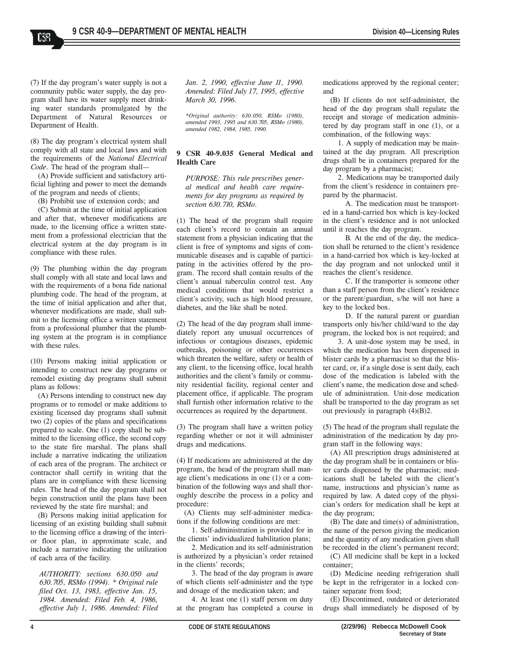(7) If the day program's water supply is not a community public water supply, the day program shall have its water supply meet drinking water standards promulgated by the Department of Natural Resources or Department of Health.

CSS

(8) The day program's electrical system shall comply with all state and local laws and with the requirements of the National Electrical Code. The head of the program shall-

(A) Provide sufficient and satisfactory artificial lighting and power to meet the demands of the program and needs of clients;

(B) Prohibit use of extension cords; and

(C) Submit at the time of initial application and after that, whenever modifications are made, to the licensing office a written statement from a professional electrician that the electrical system at the day program is in compliance with these rules.

(9) The plumbing within the day program shall comply with all state and local laws and with the requirements of a bona fide national plumbing code. The head of the program, at the time of initial application and after that, whenever modifications are made, shall submit to the licensing office a written statement from a professional plumber that the plumbing system at the program is in compliance with these rules.

(10) Persons making initial application or intending to construct new day programs or remodel existing day programs shall submit plans as follows:

(A) Persons intending to construct new day programs or to remodel or make additions to existing licensed day programs shall submit two (2) copies of the plans and specifications prepared to scale. One (1) copy shall be submitted to the licensing office, the second copy to the state fire marshal. The plans shall include a narrative indicating the utilization of each area of the program. The architect or contractor shall certify in writing that the plans are in compliance with these licensing rules. The head of the day program shall not begin construction until the plans have been reviewed by the state fire marshal; and

(B) Persons making initial application for licensing of an existing building shall submit to the licensing office a drawing of the interior floor plan, in approximate scale, and include a narrative indicating the utilization of each area of the facility.

AUTHORITY: sections 630.050 and 630.705, RSMo (1994). \* Original rule filed Oct. 13, 1983, effective Jan. 15, 1984. Amended: Filed Feb. 4, 1986, effective July 1, 1986. Amended: Filed Jan. 2, 1990, effective June 11, 1990. Amended: Filed July 17, 1995, effective March 30, 1996.

\*Original authority: 630.050, RSMo (1980), amended 1993, 1995 and 630.705, RSMo (1980), amended 1982, 1984, 1985, 1990.

#### 9 CSR 40-9.035 General Medical and Health Care

PURPOSE: This rule prescribes general medical and health care requirements for day programs as required by section 630.710, RSMo.

(1) The head of the program shall require each client's record to contain an annual statement from a physician indicating that the client is free of symptoms and signs of communicable diseases and is capable of participating in the activities offered by the program. The record shall contain results of the client's annual tuberculin control test. Any medical conditions that would restrict a client's activity, such as high blood pressure, diabetes, and the like shall be noted.

(2) The head of the day program shall immediately report any unusual occurrences of infectious or contagious diseases, epidemic outbreaks, poisoning or other occurrences which threaten the welfare, safety or health of any client, to the licensing office, local health authorities and the client's family or community residential facility, regional center and placement office, if applicable. The program shall furnish other information relative to the occurrences as required by the department.

(3) The program shall have a written policy regarding whether or not it will administer drugs and medications.

(4) If medications are administered at the day program, the head of the program shall manage client's medications in one (1) or a combination of the following ways and shall thoroughly describe the process in a policy and procedure:

(A) Clients may self-administer medications if the following conditions are met:

1. Self-administration is provided for in the clients' individualized habilitation plans;

2. Medication and its self-administration is authorized by a physician's order retained in the clients' records;

3. The head of the day program is aware of which clients self-administer and the type and dosage of the medication taken; and

4. At least one (1) staff person on duty at the program has completed a course in medications approved by the regional center; and

(B) If clients do not self-administer, the head of the day program shall regulate the receipt and storage of medication administered by day program staff in one (1), or a combination, of the following ways:

1. A supply of medication may be maintained at the day program. All prescription drugs shall be in containers prepared for the day program by a pharmacist;

2. Medications may be transported daily from the client's residence in containers prepared by the pharmacist.

A. The medication must be transported in a hand-carried box which is key-locked in the client's residence and is not unlocked until it reaches the day program.

B. At the end of the day, the medication shall be returned to the client's residence in a hand-carried box which is key-locked at the day program and not unlocked until it reaches the client's residence.

C. If the transporter is someone other than a staff person from the client's residence or the parent/guardian, s/he will not have a key to the locked box.

D. If the natural parent or guardian transports only his/her child/ward to the day program, the locked box is not required; and

3. A unit-dose system may be used, in which the medication has been dispensed in blister cards by a pharmacist so that the blister card, or, if a single dose is sent daily, each dose of the medication is labeled with the client's name, the medication dose and schedule of administration. Unit-dose medication shall be transported to the day program as set out previously in paragraph  $(4)(B)2$ .

(5) The head of the program shall regulate the administration of the medication by day program staff in the following ways:

(A) All prescription drugs administered at the day program shall be in containers or blister cards dispensed by the pharmacist; medications shall be labeled with the client's name, instructions and physician's name as required by law. A dated copy of the physician's orders for medication shall be kept at the day program;

(B) The date and time(s) of administration, the name of the person giving the medication and the quantity of any medication given shall be recorded in the client's permanent record;

(C) All medicine shall be kept in a locked container;

(D) Medicine needing refrigeration shall be kept in the refrigerator in a locked container separate from food;

(E) Discontinued, outdated or deteriorated drugs shall immediately be disposed of by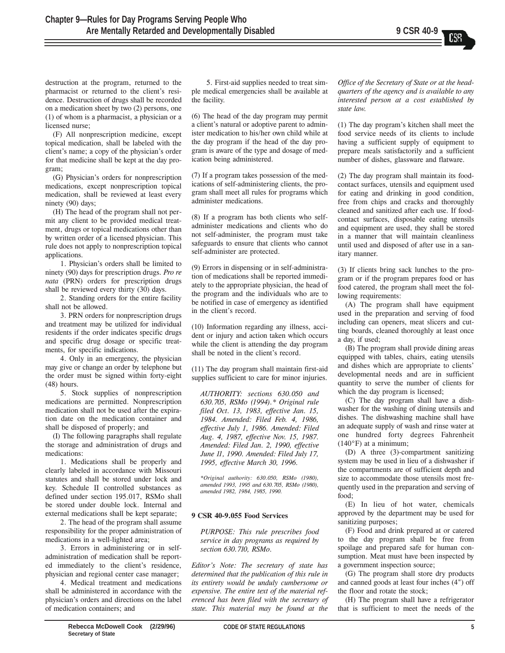destruction at the program, returned to the pharmacist or returned to the client's residence. Destruction of drugs shall be recorded on a medication sheet by two (2) persons, one (1) of whom is a pharmacist, a physician or a licensed nurse;

(F) All nonprescription medicine, except topical medication, shall be labeled with the client's name; a copy of the physician's order for that medicine shall be kept at the day program;

(G) Physician's orders for nonprescription medications, except nonprescription topical medication, shall be reviewed at least every ninety (90) days;

(H) The head of the program shall not permit any client to be provided medical treatment, drugs or topical medications other than by written order of a licensed physician. This rule does not apply to nonprescription topical applications.

1. Physician's orders shall be limited to ninety (90) days for prescription drugs. Pro re nata (PRN) orders for prescription drugs shall be reviewed every thirty (30) days.

2. Standing orders for the entire facility shall not be allowed.

3. PRN orders for nonprescription drugs and treatment may be utilized for individual residents if the order indicates specific drugs and specific drug dosage or specific treatments, for specific indications.

4. Only in an emergency, the physician may give or change an order by telephone but the order must be signed within forty-eight (48) hours.

5. Stock supplies of nonprescription medications are permitted. Nonprescription medication shall not be used after the expiration date on the medication container and shall be disposed of properly; and

(I) The following paragraphs shall regulate the storage and administration of drugs and medications:

1. Medications shall be properly and clearly labeled in accordance with Missouri statutes and shall be stored under lock and key. Schedule II controlled substances as defined under section 195.017, RSMo shall be stored under double lock. Internal and external medications shall be kept separate;

2. The head of the program shall assume responsibility for the proper administration of medications in a well-lighted area;

3. Errors in administering or in selfadministration of medication shall be reported immediately to the client's residence, physician and regional center case manager;

4. Medical treatment and medications shall be administered in accordance with the physician's orders and directions on the label of medication containers; and

5. First-aid supplies needed to treat simple medical emergencies shall be available at the facility.

(6) The head of the day program may permit a client's natural or adoptive parent to administer medication to his/her own child while at the day program if the head of the day program is aware of the type and dosage of medication being administered.

(7) If a program takes possession of the medications of self-administering clients, the program shall meet all rules for programs which administer medications.

(8) If a program has both clients who selfadminister medications and clients who do not self-administer, the program must take safeguards to ensure that clients who cannot self-administer are protected.

(9) Errors in dispensing or in self-administration of medications shall be reported immediately to the appropriate physician, the head of the program and the individuals who are to be notified in case of emergency as identified in the client's record.

(10) Information regarding any illness, accident or injury and action taken which occurs while the client is attending the day program shall be noted in the client's record.

(11) The day program shall maintain first-aid supplies sufficient to care for minor injuries.

AUTHORITY: sections 630.050 and 630.705, RSMo (1994).\* Original rule filed Oct. 13, 1983, effective Jan. 15, 1984. Amended: Filed Feb. 4, 1986, effective July 1, 1986. Amended: Filed Aug. 4, 1987, effective Nov. 15, 1987. Amended: Filed Jan. 2, 1990, effective June 11, 1990. Amended: Filed July 17, 1995, effective March 30, 1996.

\*Original authority: 630.050, RSMo (1980), amended 1993, 1995 and 630.705, RSMo (1980), amended 1982, 1984, 1985, 1990.

## 9 CSR 40-9.055 Food Services

PURPOSE: This rule prescribes food service in day programs as required by section 630.710, RSMo.

Editor's Note: The secretary of state has determined that the publication of this rule in its entirety would be unduly cumbersome or expensive. The entire text of the material referenced has been filed with the secretary of state. This material may be found at the

Office of the Secretary of State or at the headquarters of the agency and is available to any interested person at a cost established by state law.

(1) The day program's kitchen shall meet the food service needs of its clients to include having a sufficient supply of equipment to prepare meals satisfactorily and a sufficient number of dishes, glassware and flatware.

(2) The day program shall maintain its foodcontact surfaces, utensils and equipment used for eating and drinking in good condition, free from chips and cracks and thoroughly cleaned and sanitized after each use. If foodcontact surfaces, disposable eating utensils and equipment are used, they shall be stored in a manner that will maintain cleanliness until used and disposed of after use in a sanitary manner.

(3) If clients bring sack lunches to the program or if the program prepares food or has food catered, the program shall meet the following requirements:

(A) The program shall have equipment used in the preparation and serving of food including can openers, meat slicers and cutting boards, cleaned thoroughly at least once a day, if used;

(B) The program shall provide dining areas equipped with tables, chairs, eating utensils and dishes which are appropriate to clients' developmental needs and are in sufficient quantity to serve the number of clients for which the day program is licensed;

(C) The day program shall have a dishwasher for the washing of dining utensils and dishes. The dishwashing machine shall have an adequate supply of wash and rinse water at one hundred forty degrees Fahrenheit  $(140°F)$  at a minimum;

(D) A three (3)-compartment sanitizing system may be used in lieu of a dishwasher if the compartments are of sufficient depth and size to accommodate those utensils most frequently used in the preparation and serving of food;

(E) In lieu of hot water, chemicals approved by the department may be used for sanitizing purposes;

(F) Food and drink prepared at or catered to the day program shall be free from spoilage and prepared safe for human consumption. Meat must have been inspected by a government inspection source;

(G) The program shall store dry products and canned goods at least four inches (4") off the floor and rotate the stock;

(H) The program shall have a refrigerator that is sufficient to meet the needs of the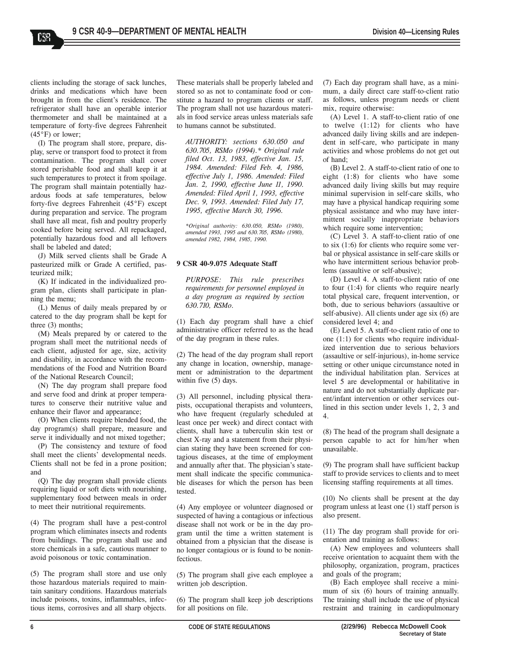clients including the storage of sack lunches, drinks and medications which have been brought in from the client's residence. The refrigerator shall have an operable interior thermometer and shall be maintained at a temperature of forty-five degrees Fahrenheit  $(45^{\circ}F)$  or lower;

CS8.

(I) The program shall store, prepare, display, serve or transport food to protect it from contamination. The program shall cover stored perishable food and shall keep it at such temperatures to protect it from spoilage. The program shall maintain potentially hazardous foods at safe temperatures, below forty-five degrees Fahrenheit (45°F) except during preparation and service. The program shall have all meat, fish and poultry properly cooked before being served. All repackaged, potentially hazardous food and all leftovers shall be labeled and dated;

(J) Milk served clients shall be Grade A pasteurized milk or Grade A certified, pasteurized milk;

(K) If indicated in the individualized program plan, clients shall participate in planning the menu;

(L) Menus of daily meals prepared by or catered to the day program shall be kept for three (3) months;

(M) Meals prepared by or catered to the program shall meet the nutritional needs of each client, adjusted for age, size, activity and disability, in accordance with the recommendations of the Food and Nutrition Board of the National Research Council;

(N) The day program shall prepare food and serve food and drink at proper temperatures to conserve their nutritive value and enhance their flavor and appearance;

(O) When clients require blended food, the day program(s) shall prepare, measure and serve it individually and not mixed together;

(P) The consistency and texture of food shall meet the clients' developmental needs. Clients shall not be fed in a prone position; and

(Q) The day program shall provide clients requiring liquid or soft diets with nourishing, supplementary food between meals in order to meet their nutritional requirements.

(4) The program shall have a pest-control program which eliminates insects and rodents from buildings. The program shall use and store chemicals in a safe, cautious manner to avoid poisonous or toxic contamination.

(5) The program shall store and use only those hazardous materials required to maintain sanitary conditions. Hazardous materials include poisons, toxins, inflammables, infectious items, corrosives and all sharp objects.

These materials shall be properly labeled and stored so as not to contaminate food or constitute a hazard to program clients or staff. The program shall not use hazardous materials in food service areas unless materials safe to humans cannot be substituted.

AUTHORITY: sections 630.050 and 630.705, RSMo (1994).\* Original rule filed Oct. 13, 1983, effective Jan. 15, 1984. Amended: Filed Feb. 4, 1986, effective July 1, 1986. Amended: Filed Jan. 2, 1990, effective June 11, 1990. Amended: Filed April 1, 1993, effective Dec. 9, 1993. Amended: Filed July 17, 1995, effective March 30, 1996.

\*Original authority: 630.050, RSMo (1980), amended 1993, 1995 and 630.705, RSMo (1980), amended 1982, 1984, 1985, 1990.

#### 9 CSR 40-9.075 Adequate Staff

PURPOSE: This rule prescribes requirements for personnel employed in a day program as required by section 630.710, RSMo.

(1) Each day program shall have a chief administrative officer referred to as the head of the day program in these rules.

(2) The head of the day program shall report any change in location, ownership, management or administration to the department within five (5) days.

(3) All personnel, including physical therapists, occupational therapists and volunteers, who have frequent (regularly scheduled at least once per week) and direct contact with clients, shall have a tuberculin skin test or chest X-ray and a statement from their physician stating they have been screened for contagious diseases, at the time of employment and annually after that. The physician's statement shall indicate the specific communicable diseases for which the person has been tested.

(4) Any employee or volunteer diagnosed or suspected of having a contagious or infectious disease shall not work or be in the day program until the time a written statement is obtained from a physician that the disease is no longer contagious or is found to be noninfectious.

(5) The program shall give each employee a written job description.

(6) The program shall keep job descriptions for all positions on file.

(7) Each day program shall have, as a minimum, a daily direct care staff-to-client ratio as follows, unless program needs or client mix, require otherwise:

(A) Level 1. A staff-to-client ratio of one to twelve (1:12) for clients who have advanced daily living skills and are independent in self-care, who participate in many activities and whose problems do not get out of hand;

(B) Level 2. A staff-to-client ratio of one to eight (1:8) for clients who have some advanced daily living skills but may require minimal supervision in self-care skills, who may have a physical handicap requiring some physical assistance and who may have intermittent socially inappropriate behaviors which require some intervention;

(C) Level 3. A staff-to-client ratio of one to six (1:6) for clients who require some verbal or physical assistance in self-care skills or who have intermittent serious behavior problems (assaultive or self-abusive);

(D) Level 4. A staff-to-client ratio of one to four (1:4) for clients who require nearly total physical care, frequent intervention, or both, due to serious behaviors (assaultive or self-abusive). All clients under age six (6) are considered level 4; and

(E) Level 5. A staff-to-client ratio of one to one (1:1) for clients who require individualized intervention due to serious behaviors (assaultive or self-injurious), in-home service setting or other unique circumstance noted in the individual habilitation plan. Services at level 5 are developmental or habilitative in nature and do not substantially duplicate parent/infant intervention or other services outlined in this section under levels 1, 2, 3 and 4.

(8) The head of the program shall designate a person capable to act for him/her when unavailable.

(9) The program shall have sufficient backup staff to provide services to clients and to meet licensing staffing requirements at all times.

(10) No clients shall be present at the day program unless at least one (1) staff person is also present.

(11) The day program shall provide for orientation and training as follows:

(A) New employees and volunteers shall receive orientation to acquaint them with the philosophy, organization, program, practices and goals of the program;

(B) Each employee shall receive a minimum of six (6) hours of training annually. The training shall include the use of physical restraint and training in cardiopulmonary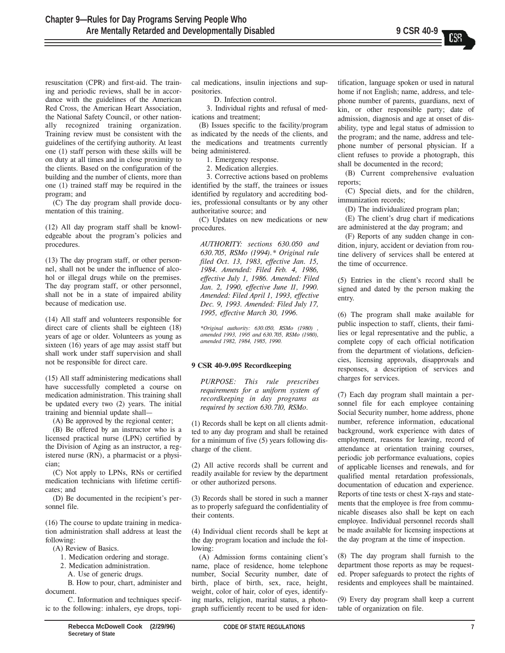resuscitation (CPR) and first-aid. The training and periodic reviews, shall be in accordance with the guidelines of the American Red Cross, the American Heart Association, the National Safety Council, or other nationally recognized training organization. Training review must be consistent with the guidelines of the certifying authority. At least one (1) staff person with these skills will be on duty at all times and in close proximity to the clients. Based on the configuration of the building and the number of clients, more than one (1) trained staff may be required in the program; and

(C) The day program shall provide documentation of this training.

(12) All day program staff shall be knowledgeable about the program's policies and procedures.

(13) The day program staff, or other personnel, shall not be under the influence of alcohol or illegal drugs while on the premises. The day program staff, or other personnel, shall not be in a state of impaired ability because of medication use.

(14) All staff and volunteers responsible for direct care of clients shall be eighteen (18) years of age or older. Volunteers as young as sixteen (16) years of age may assist staff but shall work under staff supervision and shall not be responsible for direct care.

(15) All staff administering medications shall have successfully completed a course on medication administration. This training shall be updated every two (2) years. The initial training and biennial update shall-

(A) Be approved by the regional center;

(B) Be offered by an instructor who is a licensed practical nurse (LPN) certified by the Division of Aging as an instructor, a registered nurse (RN), a pharmacist or a physician;

(C) Not apply to LPNs, RNs or certified medication technicians with lifetime certificates; and

(D) Be documented in the recipient's personnel file.

(16) The course to update training in medication administration shall address at least the following:

(A) Review of Basics.

1. Medication ordering and storage.

2. Medication administration.

A. Use of generic drugs.

B. How to pour, chart, administer and document.

C. Information and techniques specific to the following: inhalers, eye drops, topical medications, insulin injections and suppositories.

D. Infection control.

3. Individual rights and refusal of medications and treatment;

(B) Issues specific to the facility/program as indicated by the needs of the clients, and the medications and treatments currently being administered.

1. Emergency response.

2. Medication allergies.

3. Corrective actions based on problems identified by the staff, the trainees or issues identified by regulatory and accrediting bodies, professional consultants or by any other authoritative source; and

(C) Updates on new medications or new procedures.

AUTHORITY: sections 630.050 and 630.705, RSMo (1994).\* Original rule filed Oct. 13, 1983, effective Jan. 15, 1984. Amended: Filed Feb. 4, 1986, effective July 1, 1986. Amended: Filed Jan. 2, 1990, effective June 11, 1990. Amended: Filed April 1, 1993, effective Dec. 9, 1993. Amended: Filed July 17, 1995, effective March 30, 1996.

\*Original authority: 630.050, RSMo (1980) , amended 1993, 1995 and 630.705, RSMo (1980), amended 1982, 1984, 1985, 1990.

#### 9 CSR 40-9.095 Recordkeeping

PURPOSE: This rule prescribes requirements for a uniform system of recordkeeping in day programs as required by section 630.710, RSMo.

(1) Records shall be kept on all clients admitted to any day program and shall be retained for a minimum of five (5) years following discharge of the client.

(2) All active records shall be current and readily available for review by the department or other authorized persons.

(3) Records shall be stored in such a manner as to properly safeguard the confidentiality of their contents.

(4) Individual client records shall be kept at the day program location and include the following:

 $(A)$  Admission forms containing client's name, place of residence, home telephone number, Social Security number, date of birth, place of birth, sex, race, height, weight, color of hair, color of eyes, identifying marks, religion, marital status, a photograph sufficiently recent to be used for identification, language spoken or used in natural home if not English; name, address, and telephone number of parents, guardians, next of kin, or other responsible party; date of admission, diagnosis and age at onset of disability, type and legal status of admission to the program; and the name, address and telephone number of personal physician. If a client refuses to provide a photograph, this shall be documented in the record;

(B) Current comprehensive evaluation reports;

(C) Special diets, and for the children, immunization records;

(D) The individualized program plan;

(E) The client's drug chart if medications are administered at the day program; and

(F) Reports of any sudden change in condition, injury, accident or deviation from routine delivery of services shall be entered at the time of occurrence.

(5) Entries in the client's record shall be signed and dated by the person making the entry.

(6) The program shall make available for public inspection to staff, clients, their families or legal representative and the public, a complete copy of each official notification from the department of violations, deficiencies, licensing approvals, disapprovals and responses, a description of services and charges for services.

(7) Each day program shall maintain a personnel file for each employee containing Social Security number, home address, phone number, reference information, educational background, work experience with dates of employment, reasons for leaving, record of attendance at orientation training courses, periodic job performance evaluations, copies of applicable licenses and renewals, and for qualified mental retardation professionals, documentation of education and experience. Reports of tine tests or chest X-rays and statements that the employee is free from communicable diseases also shall be kept on each employee. Individual personnel records shall be made available for licensing inspections at the day program at the time of inspection.

(8) The day program shall furnish to the department those reports as may be requested. Proper safeguards to protect the rights of residents and employees shall be maintained.

(9) Every day program shall keep a current table of organization on file.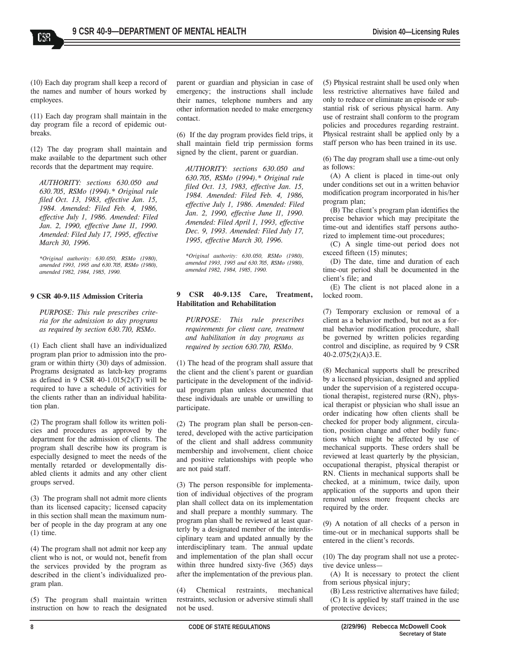(10) Each day program shall keep a record of the names and number of hours worked by

employees.

CSS

(11) Each day program shall maintain in the day program file a record of epidemic outbreaks.

(12) The day program shall maintain and make available to the department such other records that the department may require.

AUTHORITY: sections 630.050 and 630.705, RSMo (1994).\* Original rule filed Oct. 13, 1983, effective Jan. 15, 1984. Amended: Filed Feb. 4, 1986, effective July 1, 1986. Amended: Filed Jan. 2, 1990, effective June 11, 1990. Amended: Filed July 17, 1995, effective March 30, 1996.

\*Original authority: 630.050, RSMo (1980), amended 1993, 1995 and 630.705, RSMo (1980), amended 1982, 1984, 1985, 1990.

#### 9 CSR 40-9.115 Admission Criteria

PURPOSE: This rule prescribes criteria for the admission to day programs as required by section 630.710, RSMo.

(1) Each client shall have an individualized program plan prior to admission into the program or within thirty (30) days of admission. Programs designated as latch-key programs as defined in 9 CSR 40-1.015(2)(T) will be required to have a schedule of activities for the clients rather than an individual habilitation plan.

(2) The program shall follow its written policies and procedures as approved by the department for the admission of clients. The program shall describe how its program is especially designed to meet the needs of the mentally retarded or developmentally disabled clients it admits and any other client groups served.

(3) The program shall not admit more clients than its licensed capacity; licensed capacity in this section shall mean the maximum number of people in the day program at any one (1) time.

(4) The program shall not admit nor keep any client who is not, or would not, benefit from the services provided by the program as described in the client's individualized program plan.

(5) The program shall maintain written instruction on how to reach the designated

parent or guardian and physician in case of emergency; the instructions shall include their names, telephone numbers and any other information needed to make emergency contact.

(6) If the day program provides field trips, it shall maintain field trip permission forms signed by the client, parent or guardian.

AUTHORITY: sections 630.050 and 630.705, RSMo (1994).\* Original rule filed Oct. 13, 1983, effective Jan. 15, 1984. Amended: Filed Feb. 4, 1986, effective July 1, 1986. Amended: Filed Jan. 2, 1990, effective June 11, 1990. Amended: Filed April 1, 1993, effective Dec. 9, 1993. Amended: Filed July 17, 1995, effective March 30, 1996.

\*Original authority: 630.050, RSMo (1980), amended 1993, 1995 and 630.705, RSMo (1980), amended 1982, 1984, 1985, 1990.

## 9 CSR 40-9.135 Care, Treatment, Habilitation and Rehabilitation

PURPOSE: This rule prescribes requirements for client care, treatment and habilitation in day programs as required by section 630.710, RSMo.

(1) The head of the program shall assure that the client and the client's parent or guardian participate in the development of the individual program plan unless documented that these individuals are unable or unwilling to participate.

(2) The program plan shall be person-centered, developed with the active participation of the client and shall address community membership and involvement, client choice and positive relationships with people who are not paid staff.

(3) The person responsible for implementation of individual objectives of the program plan shall collect data on its implementation and shall prepare a monthly summary. The program plan shall be reviewed at least quarterly by a designated member of the interdisciplinary team and updated annually by the interdisciplinary team. The annual update and implementation of the plan shall occur within three hundred sixty-five (365) days after the implementation of the previous plan.

(4) Chemical restraints, mechanical restraints, seclusion or adversive stimuli shall not be used.

(5) Physical restraint shall be used only when less restrictive alternatives have failed and only to reduce or eliminate an episode or substantial risk of serious physical harm. Any use of restraint shall conform to the program policies and procedures regarding restraint. Physical restraint shall be applied only by a staff person who has been trained in its use.

(6) The day program shall use a time-out only as follows:

(A) A client is placed in time-out only under conditions set out in a written behavior modification program incorporated in his/her program plan;

(B) The client's program plan identifies the precise behavior which may precipitate the time-out and identifies staff persons authorized to implement time-out procedures;

(C) A single time-out period does not exceed fifteen (15) minutes;

(D) The date, time and duration of each time-out period shall be documented in the client's file; and

(E) The client is not placed alone in a locked room.

(7) Temporary exclusion or removal of a client as a behavior method, but not as a formal behavior modification procedure, shall be governed by written policies regarding control and discipline, as required by 9 CSR 40-2.075(2)(A)3.E.

(8) Mechanical supports shall be prescribed by a licensed physician, designed and applied under the supervision of a registered occupational therapist, registered nurse (RN), physical therapist or physician who shall issue an order indicating how often clients shall be checked for proper body alignment, circulation, position change and other bodily functions which might be affected by use of mechanical supports. These orders shall be reviewed at least quarterly by the physician, occupational therapist, physical therapist or RN. Clients in mechanical supports shall be checked, at a minimum, twice daily, upon application of the supports and upon their removal unless more frequent checks are required by the order.

(9) A notation of all checks of a person in time-out or in mechanical supports shall be entered in the client's records.

(10) The day program shall not use a protective device unless-

(A) It is necessary to protect the client from serious physical injury;

(B) Less restrictive alternatives have failed; (C) It is applied by staff trained in the use of protective devices;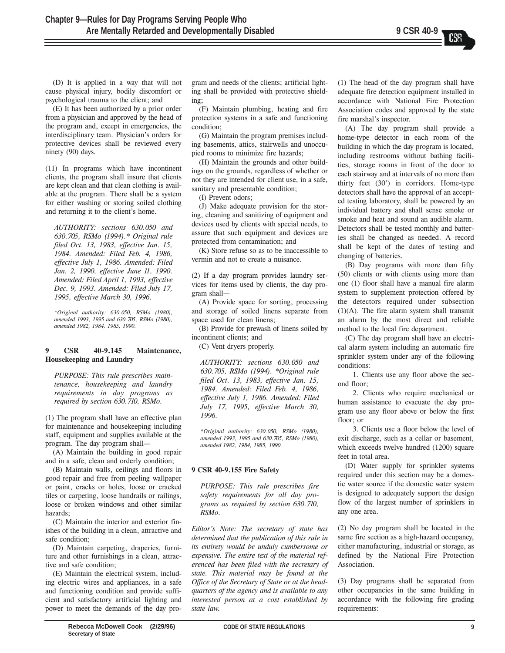(D) It is applied in a way that will not cause physical injury, bodily discomfort or psychological trauma to the client; and

(E) It has been authorized by a prior order from a physician and approved by the head of the program and, except in emergencies, the interdisciplinary team. Physician's orders for protective devices shall be reviewed every ninety (90) days.

(11) In programs which have incontinent clients, the program shall insure that clients are kept clean and that clean clothing is available at the program. There shall be a system for either washing or storing soiled clothing and returning it to the client's home.

AUTHORITY: sections 630.050 and 630.705, RSMo (1994).\* Original rule filed Oct. 13, 1983, effective Jan. 15, 1984. Amended: Filed Feb. 4, 1986, effective July 1, 1986. Amended: Filed Jan. 2, 1990, effective June 11, 1990. Amended: Filed April 1, 1993, effective Dec. 9, 1993. Amended: Filed July 17, 1995, effective March 30, 1996.

\*Original authority: 630.050, RSMo (1980), amended 1993, 1995 and 630.705, RSMo (1980), amended 1982, 1984, 1985, 1990.

## 9 CSR 40-9.145 Maintenance, Housekeeping and Laundry

PURPOSE: This rule prescribes maintenance, housekeeping and laundry requirements in day programs as required by section 630.710, RSMo.

(1) The program shall have an effective plan for maintenance and housekeeping including staff, equipment and supplies available at the program. The day program shall—

(A) Maintain the building in good repair and in a safe, clean and orderly condition;

(B) Maintain walls, ceilings and floors in good repair and free from peeling wallpaper or paint, cracks or holes, loose or cracked tiles or carpeting, loose handrails or railings, loose or broken windows and other similar hazards;

(C) Maintain the interior and exterior finishes of the building in a clean, attractive and safe condition;

(D) Maintain carpeting, draperies, furniture and other furnishings in a clean, attractive and safe condition;

(E) Maintain the electrical system, including electric wires and appliances, in a safe and functioning condition and provide sufficient and satisfactory artificial lighting and power to meet the demands of the day program and needs of the clients; artificial lighting shall be provided with protective shielding;

(F) Maintain plumbing, heating and fire protection systems in a safe and functioning condition;

(G) Maintain the program premises including basements, attics, stairwells and unoccupied rooms to minimize fire hazards;

(H) Maintain the grounds and other buildings on the grounds, regardless of whether or not they are intended for client use, in a safe, sanitary and presentable condition;

(I) Prevent odors;

(J) Make adequate provision for the storing, cleaning and sanitizing of equipment and devices used by clients with special needs, to assure that such equipment and devices are protected from contamination; and

(K) Store refuse so as to be inaccessible to vermin and not to create a nuisance.

(2) If a day program provides laundry services for items used by clients, the day program shall-

(A) Provide space for sorting, processing and storage of soiled linens separate from space used for clean linens;

(B) Provide for prewash of linens soiled by incontinent clients; and

(C) Vent dryers properly.

AUTHORITY: sections 630.050 and 630.705, RSMo (1994). \*Original rule filed Oct. 13, 1983, effective Jan. 15, 1984. Amended: Filed Feb. 4, 1986, effective July 1, 1986. Amended: Filed July 17, 1995, effective March 30, 1996.

\*Original authority: 630.050, RSMo (1980), amended 1993, 1995 and 630.705, RSMo (1980), amended 1982, 1984, 1985, 1990.

## 9 CSR 40-9.155 Fire Safety

PURPOSE: This rule prescribes fire safety requirements for all day programs as required by section 630.710, RSMo.

Editor's Note: The secretary of state has determined that the publication of this rule in its entirety would be unduly cumbersome or expensive. The entire text of the material referenced has been filed with the secretary of state. This material may be found at the Office of the Secretary of State or at the headquarters of the agency and is available to any interested person at a cost established by state law.

(1) The head of the day program shall have adequate fire detection equipment installed in accordance with National Fire Protection Association codes and approved by the state fire marshal's inspector.

(A) The day program shall provide a home-type detector in each room of the building in which the day program is located, including restrooms without bathing facilities, storage rooms in front of the door to each stairway and at intervals of no more than thirty feet (30') in corridors. Home-type detectors shall have the approval of an accepted testing laboratory, shall be powered by an individual battery and shall sense smoke or smoke and heat and sound an audible alarm. Detectors shall be tested monthly and batteries shall be changed as needed. A record shall be kept of the dates of testing and changing of batteries.

(B) Day programs with more than fifty (50) clients or with clients using more than one (1) floor shall have a manual fire alarm system to supplement protection offered by the detectors required under subsection  $(1)(A)$ . The fire alarm system shall transmit an alarm by the most direct and reliable method to the local fire department.

(C) The day program shall have an electrical alarm system including an automatic fire sprinkler system under any of the following conditions:

1. Clients use any floor above the second floor;

2. Clients who require mechanical or human assistance to evacuate the day program use any floor above or below the first floor; or

3. Clients use a floor below the level of exit discharge, such as a cellar or basement, which exceeds twelve hundred (1200) square feet in total area.

(D) Water supply for sprinkler systems required under this section may be a domestic water source if the domestic water system is designed to adequately support the design flow of the largest number of sprinklers in any one area.

(2) No day program shall be located in the same fire section as a high-hazard occupancy, either manufacturing, industrial or storage, as defined by the National Fire Protection Association.

(3) Day programs shall be separated from other occupancies in the same building in accordance with the following fire grading requirements: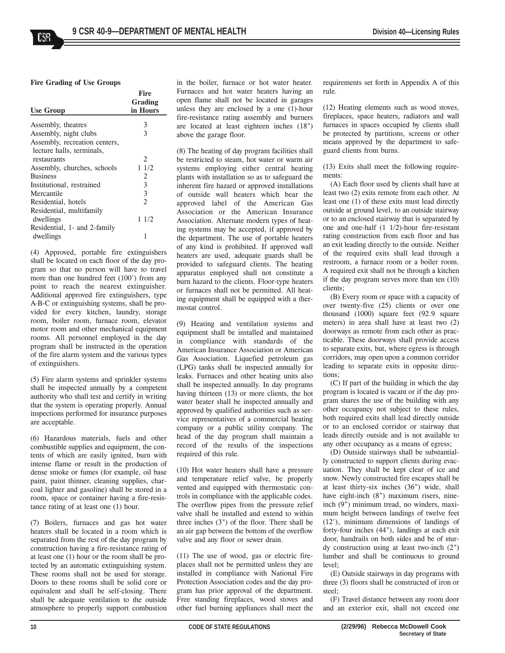Fire Grading of Use Groups

|                               | <b>Fire</b>    |
|-------------------------------|----------------|
|                               | Grading        |
| <b>Use Group</b>              | in Hours       |
|                               |                |
| Assembly, theatres            | 3              |
| Assembly, night clubs         | 3              |
| Assembly, recreation centers, |                |
| lecture halls, terminals,     |                |
| restaurants                   | 2              |
| Assembly, churches, schools   | 11/2           |
| <b>Business</b>               | 2              |
| Institutional, restrained     | 3              |
| Mercantile                    | 3              |
| Residential, hotels           | $\overline{c}$ |
| Residential, multifamily      |                |
| dwellings                     | 11/2           |
| Residential, 1- and 2-family  |                |
| dwellings                     | 1              |

(4) Approved, portable fire extinguishers shall be located on each floor of the day program so that no person will have to travel more than one hundred feet (100') from any point to reach the nearest extinguisher. Additional approved fire extinguishers, type A-B-C or extinguishing systems, shall be provided for every kitchen, laundry, storage room, boiler room, furnace room, elevator motor room and other mechanical equipment rooms. All personnel employed in the day program shall be instructed in the operation of the fire alarm system and the various types of extinguishers.

(5) Fire alarm systems and sprinkler systems shall be inspected annually by a competent authority who shall test and certify in writing that the system is operating properly. Annual inspections performed for insurance purposes are acceptable.

(6) Hazardous materials, fuels and other combustible supplies and equipment, the contents of which are easily ignited, burn with intense flame or result in the production of dense smoke or fumes (for example, oil base paint, paint thinner, cleaning supplies, charcoal lighter and gasoline) shall be stored in a room, space or container having a fire-resistance rating of at least one (1) hour.

(7) Boilers, furnaces and gas hot water heaters shall be located in a room which is separated from the rest of the day program by construction having a fire-resistance rating of at least one (1) hour or the room shall be protected by an automatic extinguishing system. These rooms shall not be used for storage. Doors to these rooms shall be solid core or equivalent and shall be self-closing. There shall be adequate ventilation to the outside atmosphere to properly support combustion

in the boiler, furnace or hot water heater. Furnaces and hot water heaters having an open flame shall not be located in garages unless they are enclosed by a one (1)-hour fire-resistance rating assembly and burners are located at least eighteen inches (18") above the garage floor.

(8) The heating of day program facilities shall be restricted to steam, hot water or warm air systems employing either central heating plants with installation so as to safeguard the inherent fire hazard or approved installations of outside wall heaters which bear the approved label of the American Gas Association or the American Insurance Association. Alternate modern types of heating systems may be accepted, if approved by the department. The use of portable heaters of any kind is prohibited. If approved wall heaters are used, adequate guards shall be provided to safeguard clients. The heating apparatus employed shall not constitute a burn hazard to the clients. Floor-type heaters or furnaces shall not be permitted. All heating equipment shall be equipped with a thermostat control.

(9) Heating and ventilation systems and equipment shall be installed and maintained in compliance with standards of the American Insurance Association or American Gas Association. Liquefied petroleum gas (LPG) tanks shall be inspected annually for leaks. Furnaces and other heating units also shall be inspected annually. In day programs having thirteen (13) or more clients, the hot water heater shall be inspected annually and approved by qualified authorities such as service representatives of a commercial heating company or a public utility company. The head of the day program shall maintain a record of the results of the inspections required of this rule.

(10) Hot water heaters shall have a pressure and temperature relief valve, be properly vented and equipped with thermostatic controls in compliance with the applicable codes. The overflow pipes from the pressure relief valve shall be installed and extend to within three inches (3") of the floor. There shall be an air gap between the bottom of the overflow valve and any floor or sewer drain.

(11) The use of wood, gas or electric fireplaces shall not be permitted unless they are installed in compliance with National Fire Protection Association codes and the day program has prior approval of the department. Free standing fireplaces, wood stoves and other fuel burning appliances shall meet the

requirements set forth in Appendix A of this rule.

(12) Heating elements such as wood stoves, fireplaces, space heaters, radiators and wall furnaces in spaces occupied by clients shall be protected by partitions, screens or other means approved by the department to safeguard clients from burns.

(13) Exits shall meet the following requirements:

(A) Each floor used by clients shall have at least two (2) exits remote from each other. At least one (1) of these exits must lead directly outside at ground level, to an outside stairway or to an enclosed stairway that is separated by one and one-half (1 1/2)-hour fire-resistant rating construction from each floor and has an exit leading directly to the outside. Neither of the required exits shall lead through a restroom, a furnace room or a boiler room. A required exit shall not be through a kitchen if the day program serves more than ten (10) clients;

(B) Every room or space with a capacity of over twenty-five (25) clients or over one thousand (1000) square feet (92.9 square meters) in area shall have at least two (2) doorways as remote from each other as practicable. These doorways shall provide access to separate exits, but, where egress is through corridors, may open upon a common corridor leading to separate exits in opposite directions;

(C) If part of the building in which the day program is located is vacant or if the day program shares the use of the building with any other occupancy not subject to these rules, both required exits shall lead directly outside or to an enclosed corridor or stairway that leads directly outside and is not available to any other occupancy as a means of egress;

(D) Outside stairways shall be substantially constructed to support clients during evacuation. They shall be kept clear of ice and snow. Newly constructed fire escapes shall be at least thirty-six inches (36") wide, shall have eight-inch  $(8")$  maximum risers, nineinch (9") minimum tread, no winders, maximum height between landings of twelve feet (12'), minimum dimensions of landings of forty-four inches (44"), landings at each exit door, handrails on both sides and be of sturdy construction using at least two-inch (2") lumber and shall be continuous to ground level;

(E) Outside stairways in day programs with three (3) floors shall be constructed of iron or steel;

(F) Travel distance between any room door and an exterior exit, shall not exceed one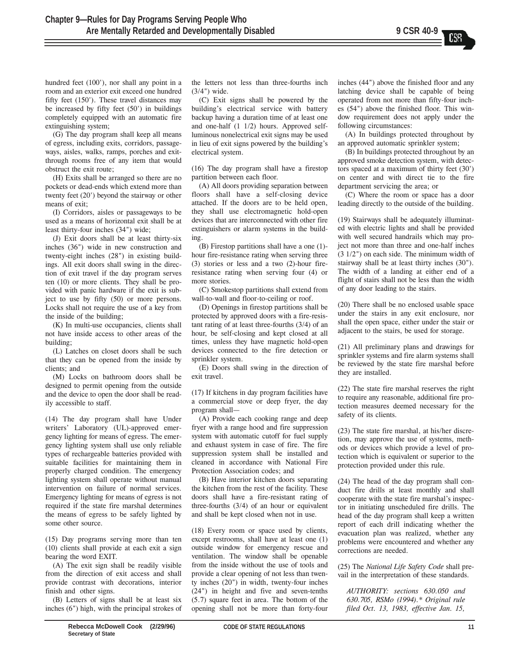hundred feet (100'), nor shall any point in a room and an exterior exit exceed one hundred fifty feet (150'). These travel distances may be increased by fifty feet (50') in buildings completely equipped with an automatic fire extinguishing system;

(G) The day program shall keep all means of egress, including exits, corridors, passageways, aisles, walks, ramps, porches and exitthrough rooms free of any item that would obstruct the exit route;

(H) Exits shall be arranged so there are no pockets or dead-ends which extend more than twenty feet (20') beyond the stairway or other means of exit;

(I) Corridors, aisles or passageways to be used as a means of horizontal exit shall be at least thirty-four inches (34") wide;

(J) Exit doors shall be at least thirty-six inches (36") wide in new construction and twenty-eight inches (28") in existing buildings. All exit doors shall swing in the direction of exit travel if the day program serves ten (10) or more clients. They shall be provided with panic hardware if the exit is subject to use by fifty (50) or more persons. Locks shall not require the use of a key from the inside of the building;

(K) In multi-use occupancies, clients shall not have inside access to other areas of the building;

(L) Latches on closet doors shall be such that they can be opened from the inside by clients; and

(M) Locks on bathroom doors shall be designed to permit opening from the outside and the device to open the door shall be readily accessible to staff.

(14) The day program shall have Under writers' Laboratory (UL)-approved emergency lighting for means of egress. The emergency lighting system shall use only reliable types of rechargeable batteries provided with suitable facilities for maintaining them in properly charged condition. The emergency lighting system shall operate without manual intervention on failure of normal services. Emergency lighting for means of egress is not required if the state fire marshal determines the means of egress to be safely lighted by some other source.

(15) Day programs serving more than ten (10) clients shall provide at each exit a sign bearing the word EXIT.

(A) The exit sign shall be readily visible from the direction of exit access and shall provide contrast with decorations, interior finish and other signs.

(B) Letters of signs shall be at least six inches (6") high, with the principal strokes of the letters not less than three-fourths inch (3/4") wide.

(C) Exit signs shall be powered by the building's electrical service with battery backup having a duration time of at least one and one-half (1 1/2) hours. Approved selfluminous nonelectrical exit signs may be used in lieu of exit signs powered by the building's electrical system.

(16) The day program shall have a firestop partition between each floor.

(A) All doors providing separation between floors shall have a self-closing device attached. If the doors are to be held open, they shall use electromagnetic hold-open devices that are interconnected with other fire extinguishers or alarm systems in the building.

(B) Firestop partitions shall have a one (1) hour fire-resistance rating when serving three (3) stories or less and a two (2)-hour fireresistance rating when serving four (4) or more stories.

(C) Smokestop partitions shall extend from wall-to-wall and floor-to-ceiling or roof.

(D) Openings in firestop partitions shall be protected by approved doors with a fire-resistant rating of at least three-fourths (3/4) of an hour, be self-closing and kept closed at all times, unless they have magnetic hold-open devices connected to the fire detection or sprinkler system.

(E) Doors shall swing in the direction of exit travel.

(17) If kitchens in day program facilities have a commercial stove or deep fryer, the day program shall-

(A) Provide each cooking range and deep fryer with a range hood and fire suppression system with automatic cutoff for fuel supply and exhaust system in case of fire. The fire suppression system shall be installed and cleaned in accordance with National Fire Protection Association codes; and

(B) Have interior kitchen doors separating the kitchen from the rest of the facility. These doors shall have a fire-resistant rating of three-fourths (3/4) of an hour or equivalent and shall be kept closed when not in use.

(18) Every room or space used by clients, except restrooms, shall have at least one (1) outside window for emergency rescue and ventilation. The window shall be openable from the inside without the use of tools and provide a clear opening of not less than twenty inches (20") in width, twenty-four inches (24") in height and five and seven-tenths (5.7) square feet in area. The bottom of the opening shall not be more than forty-four inches (44") above the finished floor and any latching device shall be capable of being operated from not more than fifty-four inches (54") above the finished floor. This window requirement does not apply under the following circumstances:

(A) In buildings protected throughout by an approved automatic sprinkler system;

(B) In buildings protected throughout by an approved smoke detection system, with detectors spaced at a maximum of thirty feet (30') on center and with direct tie to the fire department servicing the area; or

(C) Where the room or space has a door leading directly to the outside of the building.

(19) Stairways shall be adequately illuminated with electric lights and shall be provided with well secured handrails which may project not more than three and one-half inches (3 1/2") on each side. The minimum width of stairway shall be at least thirty inches (30"). The width of a landing at either end of a flight of stairs shall not be less than the width of any door leading to the stairs.

(20) There shall be no enclosed usable space under the stairs in any exit enclosure, nor shall the open space, either under the stair or adjacent to the stairs, be used for storage.

(21) All preliminary plans and drawings for sprinkler systems and fire alarm systems shall be reviewed by the state fire marshal before they are installed.

(22) The state fire marshal reserves the right to require any reasonable, additional fire protection measures deemed necessary for the safety of its clients.

(23) The state fire marshal, at his/her discretion, may approve the use of systems, methods or devices which provide a level of protection which is equivalent or superior to the protection provided under this rule.

(24) The head of the day program shall conduct fire drills at least monthly and shall cooperate with the state fire marshal's inspector in initiating unscheduled fire drills. The head of the day program shall keep a written report of each drill indicating whether the evacuation plan was realized, whether any problems were encountered and whether any corrections are needed.

(25) The National Life Safety Code shall prevail in the interpretation of these standards.

AUTHORITY: sections 630.050 and 630.705, RSMo (1994).\* Original rule filed Oct. 13, 1983, effective Jan. 15,